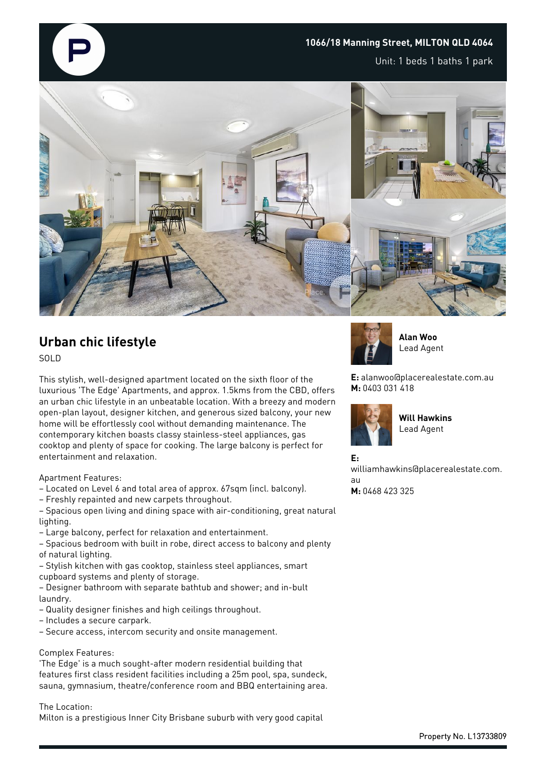

Unit: 1 beds 1 baths 1 park



# **Urban chic lifestyle**

SOLD

This stylish, well-designed apartment located on the sixth floor of the luxurious 'The Edge' Apartments, and approx. 1.5kms from the CBD, offers an urban chic lifestyle in an unbeatable location. With a breezy and modern open-plan layout, designer kitchen, and generous sized balcony, your new home will be effortlessly cool without demanding maintenance. The contemporary kitchen boasts classy stainless-steel appliances, gas cooktop and plenty of space for cooking. The large balcony is perfect for entertainment and relaxation.

### Apartment Features:

– Located on Level 6 and total area of approx. 67sqm (incl. balcony).

- Freshly repainted and new carpets throughout.
- Spacious open living and dining space with air-conditioning, great natural lighting.
- Large balcony, perfect for relaxation and entertainment.
- Spacious bedroom with built in robe, direct access to balcony and plenty of natural lighting.
- Stylish kitchen with gas cooktop, stainless steel appliances, smart cupboard systems and plenty of storage.
- Designer bathroom with separate bathtub and shower; and in-bult laundry.
- Quality designer finishes and high ceilings throughout.
- Includes a secure carpark.
- Secure access, intercom security and onsite management.

#### Complex Features:

'The Edge' is a much sought-after modern residential building that features first class resident facilities including a 25m pool, spa, sundeck, sauna, gymnasium, theatre/conference room and BBQ entertaining area.

The Location: Milton is a prestigious Inner City Brisbane suburb with very good capital



**Alan Woo** Lead Agent

**E:** alanwoo@placerealestate.com.au **M:** 0403 031 418



**Will Hawkins** Lead Agent

**E:**

williamhawkins@placerealestate.com. au **M:** 0468 423 325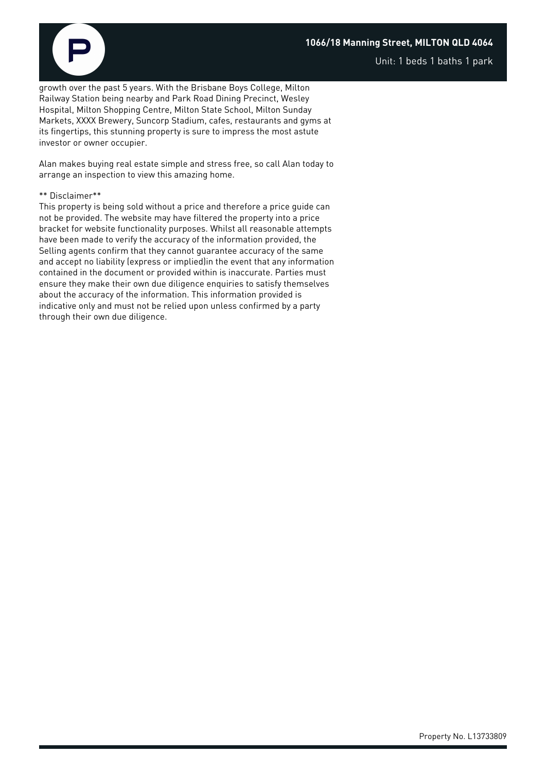## **1066/18 Manning Street, MILTON QLD 4064**



growth over the past 5 years. With the Brisbane Boys College, Milton Railway Station being nearby and Park Road Dining Precinct, Wesley Hospital, Milton Shopping Centre, Milton State School, Milton Sunday Markets, XXXX Brewery, Suncorp Stadium, cafes, restaurants and gyms at its fingertips, this stunning property is sure to impress the most astute investor or owner occupier.

Alan makes buying real estate simple and stress free, so call Alan today to arrange an inspection to view this amazing home.

#### \*\* Disclaimer\*\*

This property is being sold without a price and therefore a price guide can not be provided. The website may have filtered the property into a price bracket for website functionality purposes. Whilst all reasonable attempts have been made to verify the accuracy of the information provided, the Selling agents confirm that they cannot guarantee accuracy of the same and accept no liability (express or implied)in the event that any information contained in the document or provided within is inaccurate. Parties must ensure they make their own due diligence enquiries to satisfy themselves about the accuracy of the information. This information provided is indicative only and must not be relied upon unless confirmed by a party through their own due diligence.